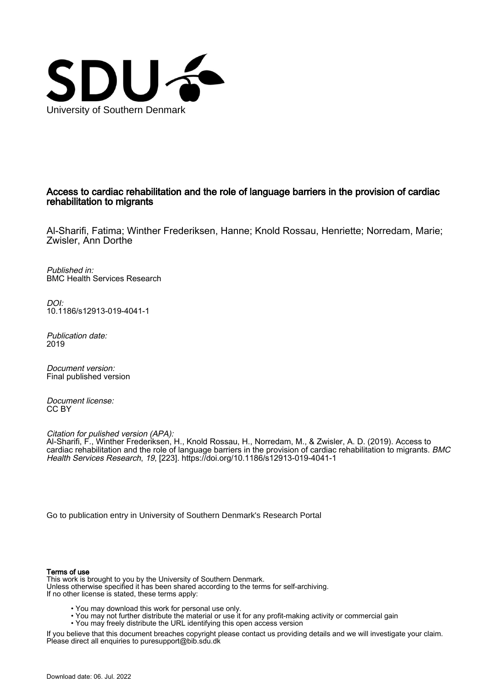

## Access to cardiac rehabilitation and the role of language barriers in the provision of cardiac rehabilitation to migrants

Al-Sharifi, Fatima; Winther Frederiksen, Hanne; Knold Rossau, Henriette; Norredam, Marie; Zwisler, Ann Dorthe

Published in: BMC Health Services Research

DOI: [10.1186/s12913-019-4041-1](https://doi.org/10.1186/s12913-019-4041-1)

Publication date: 2019

Document version: Final published version

Document license: CC BY

Citation for pulished version (APA): Al-Sharifi, F., Winther Frederiksen, H., Knold Rossau, H., Norredam, M., & Zwisler, A. D. (2019). Access to cardiac rehabilitation and the role of language barriers in the provision of cardiac rehabilitation to migrants. BMC Health Services Research, 19, [223]. <https://doi.org/10.1186/s12913-019-4041-1>

[Go to publication entry in University of Southern Denmark's Research Portal](https://portal.findresearcher.sdu.dk/en/publications/3a5b7a4f-2a13-4672-a562-9bd96660bdee)

## Terms of use

This work is brought to you by the University of Southern Denmark. Unless otherwise specified it has been shared according to the terms for self-archiving. If no other license is stated, these terms apply:

- You may download this work for personal use only.
- You may not further distribute the material or use it for any profit-making activity or commercial gain
	- You may freely distribute the URL identifying this open access version

If you believe that this document breaches copyright please contact us providing details and we will investigate your claim. Please direct all enquiries to puresupport@bib.sdu.dk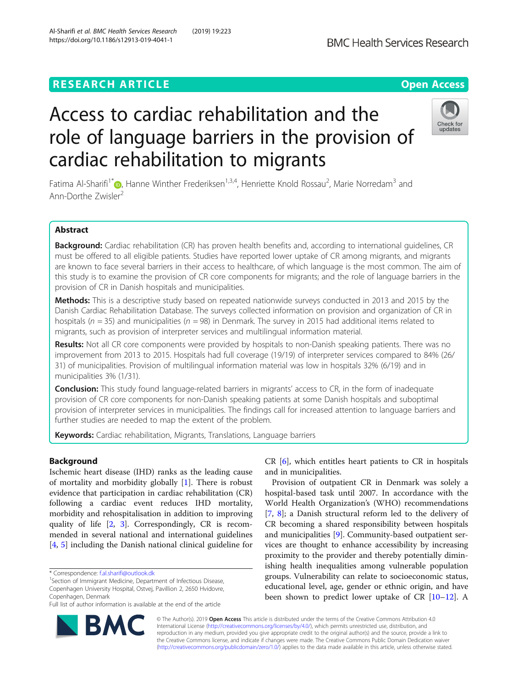## **RESEARCH ARTICLE Example 2018 12:30 THE Open Access**

# Access to cardiac rehabilitation and the role of language barriers in the provision of cardiac rehabilitation to migrants

Fatima Al-Sharifi<sup>1\*</sup> (**D**[,](http://orcid.org/0000-0002-8245-9303) Hanne Winther Frederiksen<sup>1,3,4</sup>, Henriette Knold Rossau<sup>2</sup>, Marie Norredam<sup>3</sup> and Ann-Dorthe Zwisler<sup>2</sup>

## Abstract

Background: Cardiac rehabilitation (CR) has proven health benefits and, according to international guidelines, CR must be offered to all eligible patients. Studies have reported lower uptake of CR among migrants, and migrants are known to face several barriers in their access to healthcare, of which language is the most common. The aim of this study is to examine the provision of CR core components for migrants; and the role of language barriers in the provision of CR in Danish hospitals and municipalities.

Methods: This is a descriptive study based on repeated nationwide surveys conducted in 2013 and 2015 by the Danish Cardiac Rehabilitation Database. The surveys collected information on provision and organization of CR in hospitals ( $n = 35$ ) and municipalities ( $n = 98$ ) in Denmark. The survey in 2015 had additional items related to migrants, such as provision of interpreter services and multilingual information material.

Results: Not all CR core components were provided by hospitals to non-Danish speaking patients. There was no improvement from 2013 to 2015. Hospitals had full coverage (19/19) of interpreter services compared to 84% (26/ 31) of municipalities. Provision of multilingual information material was low in hospitals 32% (6/19) and in municipalities 3% (1/31).

**Conclusion:** This study found language-related barriers in migrants' access to CR, in the form of inadequate provision of CR core components for non-Danish speaking patients at some Danish hospitals and suboptimal provision of interpreter services in municipalities. The findings call for increased attention to language barriers and further studies are needed to map the extent of the problem.

Keywords: Cardiac rehabilitation, Migrants, Translations, Language barriers

## Background

Ischemic heart disease (IHD) ranks as the leading cause of mortality and morbidity globally [[1](#page-8-0)]. There is robust evidence that participation in cardiac rehabilitation (CR) following a cardiac event reduces IHD mortality, morbidity and rehospitalisation in addition to improving quality of life [\[2](#page-8-0), [3](#page-8-0)]. Correspondingly, CR is recommended in several national and international guidelines [[4,](#page-8-0) [5](#page-8-0)] including the Danish national clinical guideline for

\* Correspondence: [f.al.sharifi@outlook.dk](mailto:f.al.sharifi@outlook.dk) <sup>1</sup>

<sup>1</sup>Section of Immigrant Medicine, Department of Infectious Disease, Copenhagen University Hospital, Ostvej, Pavillion 2, 2650 Hvidovre, Copenhagen, Denmark

Full list of author information is available at the end of the article

CR [[6](#page-8-0)], which entitles heart patients to CR in hospitals and in municipalities.

Provision of outpatient CR in Denmark was solely a hospital-based task until 2007. In accordance with the World Health Organization's (WHO) recommendations [[7,](#page-8-0) [8\]](#page-8-0); a Danish structural reform led to the delivery of CR becoming a shared responsibility between hospitals and municipalities [\[9](#page-8-0)]. Community-based outpatient services are thought to enhance accessibility by increasing proximity to the provider and thereby potentially diminishing health inequalities among vulnerable population groups. Vulnerability can relate to socioeconomic status, educational level, age, gender or ethnic origin, and have been shown to predict lower uptake of CR [\[10](#page-8-0)–[12\]](#page-8-0). A

© The Author(s). 2019 **Open Access** This article is distributed under the terms of the Creative Commons Attribution 4.0 International License [\(http://creativecommons.org/licenses/by/4.0/](http://creativecommons.org/licenses/by/4.0/)), which permits unrestricted use, distribution, and reproduction in any medium, provided you give appropriate credit to the original author(s) and the source, provide a link to the Creative Commons license, and indicate if changes were made. The Creative Commons Public Domain Dedication waiver [\(http://creativecommons.org/publicdomain/zero/1.0/](http://creativecommons.org/publicdomain/zero/1.0/)) applies to the data made available in this article, unless otherwise stated.





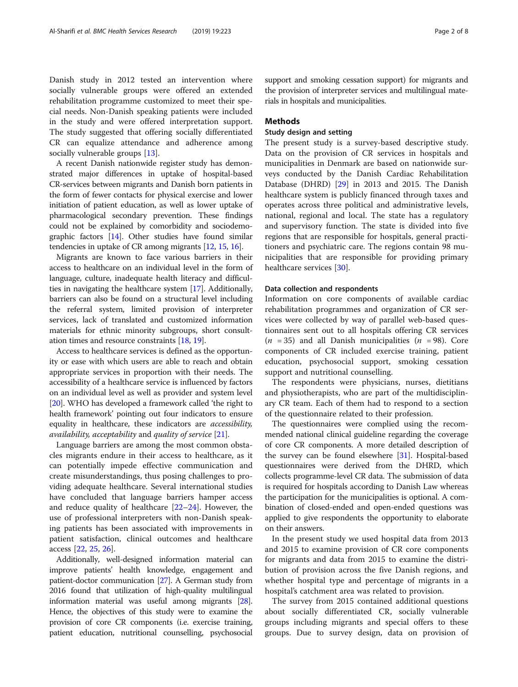Danish study in 2012 tested an intervention where socially vulnerable groups were offered an extended rehabilitation programme customized to meet their special needs. Non-Danish speaking patients were included in the study and were offered interpretation support. The study suggested that offering socially differentiated CR can equalize attendance and adherence among socially vulnerable groups [[13](#page-8-0)].

A recent Danish nationwide register study has demonstrated major differences in uptake of hospital-based CR-services between migrants and Danish born patients in the form of fewer contacts for physical exercise and lower initiation of patient education, as well as lower uptake of pharmacological secondary prevention. These findings could not be explained by comorbidity and sociodemographic factors [\[14\]](#page-8-0). Other studies have found similar tendencies in uptake of CR among migrants [[12](#page-8-0), [15,](#page-8-0) [16\]](#page-8-0).

Migrants are known to face various barriers in their access to healthcare on an individual level in the form of language, culture, inadequate health literacy and difficulties in navigating the healthcare system [\[17](#page-8-0)]. Additionally, barriers can also be found on a structural level including the referral system, limited provision of interpreter services, lack of translated and customized information materials for ethnic minority subgroups, short consultation times and resource constraints [[18](#page-8-0), [19\]](#page-8-0).

Access to healthcare services is defined as the opportunity or ease with which users are able to reach and obtain appropriate services in proportion with their needs. The accessibility of a healthcare service is influenced by factors on an individual level as well as provider and system level [[20](#page-8-0)]. WHO has developed a framework called 'the right to health framework' pointing out four indicators to ensure equality in healthcare, these indicators are accessibility, availability, acceptability and quality of service [\[21\]](#page-8-0).

Language barriers are among the most common obstacles migrants endure in their access to healthcare, as it can potentially impede effective communication and create misunderstandings, thus posing challenges to providing adequate healthcare. Several international studies have concluded that language barriers hamper access and reduce quality of healthcare [[22](#page-8-0)–[24](#page-8-0)]. However, the use of professional interpreters with non-Danish speaking patients has been associated with improvements in patient satisfaction, clinical outcomes and healthcare access [[22,](#page-8-0) [25,](#page-8-0) [26\]](#page-8-0).

Additionally, well-designed information material can improve patients' health knowledge, engagement and patient-doctor communication [[27](#page-8-0)]. A German study from 2016 found that utilization of high-quality multilingual information material was useful among migrants [\[28](#page-8-0)]. Hence, the objectives of this study were to examine the provision of core CR components (i.e. exercise training, patient education, nutritional counselling, psychosocial support and smoking cessation support) for migrants and the provision of interpreter services and multilingual materials in hospitals and municipalities.

## **Methods**

## Study design and setting

The present study is a survey-based descriptive study. Data on the provision of CR services in hospitals and municipalities in Denmark are based on nationwide surveys conducted by the Danish Cardiac Rehabilitation Database (DHRD) [\[29](#page-8-0)] in 2013 and 2015. The Danish healthcare system is publicly financed through taxes and operates across three political and administrative levels, national, regional and local. The state has a regulatory and supervisory function. The state is divided into five regions that are responsible for hospitals, general practitioners and psychiatric care. The regions contain 98 municipalities that are responsible for providing primary healthcare services [[30](#page-8-0)].

## Data collection and respondents

Information on core components of available cardiac rehabilitation programmes and organization of CR services were collected by way of parallel web-based questionnaires sent out to all hospitals offering CR services  $(n = 35)$  and all Danish municipalities  $(n = 98)$ . Core components of CR included exercise training, patient education, psychosocial support, smoking cessation support and nutritional counselling.

The respondents were physicians, nurses, dietitians and physiotherapists, who are part of the multidisciplinary CR team. Each of them had to respond to a section of the questionnaire related to their profession.

The questionnaires were complied using the recommended national clinical guideline regarding the coverage of core CR components. A more detailed description of the survey can be found elsewhere [\[31](#page-8-0)]. Hospital-based questionnaires were derived from the DHRD, which collects programme-level CR data. The submission of data is required for hospitals according to Danish Law whereas the participation for the municipalities is optional. A combination of closed-ended and open-ended questions was applied to give respondents the opportunity to elaborate on their answers.

In the present study we used hospital data from 2013 and 2015 to examine provision of CR core components for migrants and data from 2015 to examine the distribution of provision across the five Danish regions, and whether hospital type and percentage of migrants in a hospital's catchment area was related to provision.

The survey from 2015 contained additional questions about socially differentiated CR, socially vulnerable groups including migrants and special offers to these groups. Due to survey design, data on provision of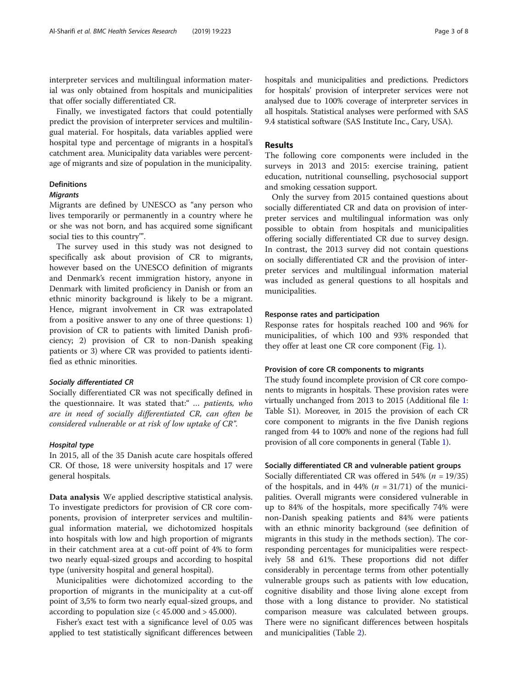interpreter services and multilingual information material was only obtained from hospitals and municipalities that offer socially differentiated CR.

Finally, we investigated factors that could potentially predict the provision of interpreter services and multilingual material. For hospitals, data variables applied were hospital type and percentage of migrants in a hospital's catchment area. Municipality data variables were percentage of migrants and size of population in the municipality.

## Definitions

## **Migrants**

Migrants are defined by UNESCO as "any person who lives temporarily or permanently in a country where he or she was not born, and has acquired some significant social ties to this country'".

The survey used in this study was not designed to specifically ask about provision of CR to migrants, however based on the UNESCO definition of migrants and Denmark's recent immigration history, anyone in Denmark with limited proficiency in Danish or from an ethnic minority background is likely to be a migrant. Hence, migrant involvement in CR was extrapolated from a positive answer to any one of three questions: 1) provision of CR to patients with limited Danish proficiency; 2) provision of CR to non-Danish speaking patients or 3) where CR was provided to patients identified as ethnic minorities.

#### Socially differentiated CR

Socially differentiated CR was not specifically defined in the questionnaire. It was stated that:" ... patients, who are in need of socially differentiated CR, can often be considered vulnerable or at risk of low uptake of CR".

#### Hospital type

In 2015, all of the 35 Danish acute care hospitals offered CR. Of those, 18 were university hospitals and 17 were general hospitals.

Data analysis We applied descriptive statistical analysis. To investigate predictors for provision of CR core components, provision of interpreter services and multilingual information material, we dichotomized hospitals into hospitals with low and high proportion of migrants in their catchment area at a cut-off point of 4% to form two nearly equal-sized groups and according to hospital type (university hospital and general hospital).

Municipalities were dichotomized according to the proportion of migrants in the municipality at a cut-off point of 3,5% to form two nearly equal-sized groups, and according to population size  $\left( < 45.000 \text{ and } > 45.000 \right)$ .

Fisher's exact test with a significance level of 0.05 was applied to test statistically significant differences between hospitals and municipalities and predictions. Predictors for hospitals' provision of interpreter services were not analysed due to 100% coverage of interpreter services in all hospitals. Statistical analyses were performed with SAS 9.4 statistical software (SAS Institute Inc., Cary, USA).

#### Results

The following core components were included in the surveys in 2013 and 2015: exercise training, patient education, nutritional counselling, psychosocial support and smoking cessation support.

Only the survey from 2015 contained questions about socially differentiated CR and data on provision of interpreter services and multilingual information was only possible to obtain from hospitals and municipalities offering socially differentiated CR due to survey design. In contrast, the 2013 survey did not contain questions on socially differentiated CR and the provision of interpreter services and multilingual information material was included as general questions to all hospitals and municipalities.

#### Response rates and participation

Response rates for hospitals reached 100 and 96% for municipalities, of which 100 and 93% responded that they offer at least one CR core component (Fig. [1\)](#page-4-0).

#### Provision of core CR components to migrants

The study found incomplete provision of CR core components to migrants in hospitals. These provision rates were virtually unchanged from 2013 to 2015 (Additional file [1](#page-7-0): Table S1). Moreover, in 2015 the provision of each CR core component to migrants in the five Danish regions ranged from 44 to 100% and none of the regions had full provision of all core components in general (Table [1](#page-4-0)).

#### Socially differentiated CR and vulnerable patient groups

Socially differentiated CR was offered in 54% ( $n = 19/35$ ) of the hospitals, and in 44% ( $n = 31/71$ ) of the municipalities. Overall migrants were considered vulnerable in up to 84% of the hospitals, more specifically 74% were non-Danish speaking patients and 84% were patients with an ethnic minority background (see definition of migrants in this study in the methods section). The corresponding percentages for municipalities were respectively 58 and 61%. These proportions did not differ considerably in percentage terms from other potentially vulnerable groups such as patients with low education, cognitive disability and those living alone except from those with a long distance to provider. No statistical comparison measure was calculated between groups. There were no significant differences between hospitals and municipalities (Table [2\)](#page-5-0).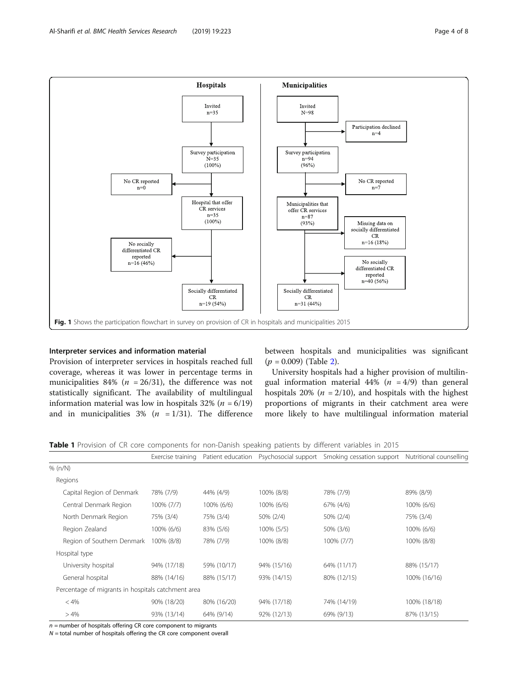<span id="page-4-0"></span>

## Interpreter services and information material

Provision of interpreter services in hospitals reached full coverage, whereas it was lower in percentage terms in municipalities 84% ( $n = 26/31$ ), the difference was not statistically significant. The availability of multilingual information material was low in hospitals  $32\%$  ( $n = 6/19$ ) and in municipalities  $3\%$  ( $n = 1/31$ ). The difference between hospitals and municipalities was significant  $(p = 0.009)$  (Table [2\)](#page-5-0).

University hospitals had a higher provision of multilingual information material 44% ( $n = 4/9$ ) than general hospitals 20% ( $n = 2/10$ ), and hospitals with the highest proportions of migrants in their catchment area were more likely to have multilingual information material

Table 1 Provision of CR core components for non-Danish speaking patients by different variables in 2015

|                                                    | Exercise training | Patient education | Psychosocial support | Smoking cessation support | Nutritional counselling |
|----------------------------------------------------|-------------------|-------------------|----------------------|---------------------------|-------------------------|
| % (n/N)                                            |                   |                   |                      |                           |                         |
| Regions                                            |                   |                   |                      |                           |                         |
| Capital Region of Denmark                          | 78% (7/9)         | 44% (4/9)         | 100% (8/8)           | 78% (7/9)                 | 89% (8/9)               |
| Central Denmark Region                             | 100% (7/7)        | 100% (6/6)        | 100% (6/6)           | 67% (4/6)                 | 100% (6/6)              |
| North Denmark Region                               | 75% (3/4)         | 75% (3/4)         | 50% (2/4)            | 50% (2/4)                 | 75% (3/4)               |
| Region Zealand                                     | 100% (6/6)        | 83% (5/6)         | 100% (5/5)           | 50% (3/6)                 | 100% (6/6)              |
| Region of Southern Denmark                         | 100% (8/8)        | 78% (7/9)         | 100% (8/8)           | 100% (7/7)                | 100% (8/8)              |
| Hospital type                                      |                   |                   |                      |                           |                         |
| University hospital                                | 94% (17/18)       | 59% (10/17)       | 94% (15/16)          | 64% (11/17)               | 88% (15/17)             |
| General hospital                                   | 88% (14/16)       | 88% (15/17)       | 93% (14/15)          | 80% (12/15)               | 100% (16/16)            |
| Percentage of migrants in hospitals catchment area |                   |                   |                      |                           |                         |
| $< 4\%$                                            | 90% (18/20)       | 80% (16/20)       | 94% (17/18)          | 74% (14/19)               | 100% (18/18)            |
| >4%                                                | 93% (13/14)       | 64% (9/14)        | 92% (12/13)          | 69% (9/13)                | 87% (13/15)             |

 $n =$  number of hospitals offering CR core component to migrants

 $N =$  total number of hospitals offering the CR core component overall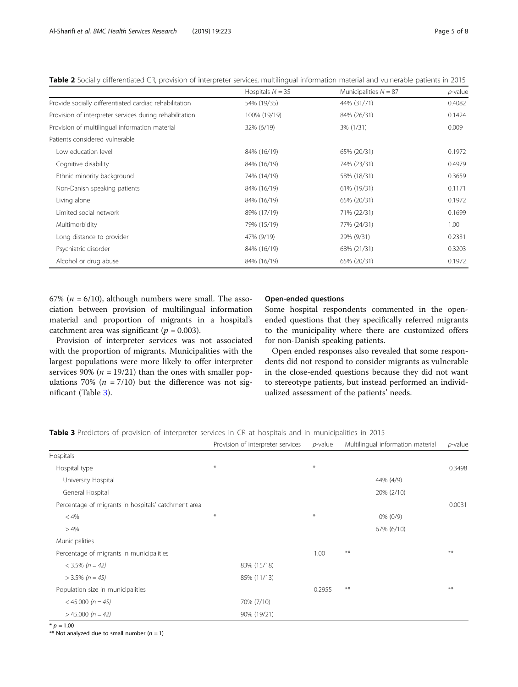|                                                         | Hospitals $N = 35$ | Municipalities $N = 87$ | $p$ -value |
|---------------------------------------------------------|--------------------|-------------------------|------------|
| Provide socially differentiated cardiac rehabilitation  | 54% (19/35)        | 44% (31/71)             | 0.4082     |
| Provision of interpreter services during rehabilitation | 100% (19/19)       | 84% (26/31)             | 0.1424     |
| Provision of multilingual information material          | 32% (6/19)         | 3% (1/31)               | 0.009      |
| Patients considered vulnerable                          |                    |                         |            |
| Low education level                                     | 84% (16/19)        | 65% (20/31)             | 0.1972     |
| Cognitive disability                                    | 84% (16/19)        | 74% (23/31)             | 0.4979     |
| Ethnic minority background                              | 74% (14/19)        | 58% (18/31)             | 0.3659     |
| Non-Danish speaking patients                            | 84% (16/19)        | 61% (19/31)             | 0.1171     |
| Living alone                                            | 84% (16/19)        | 65% (20/31)             | 0.1972     |
| Limited social network                                  | 89% (17/19)        | 71% (22/31)             | 0.1699     |
| Multimorbidity                                          | 79% (15/19)        | 77% (24/31)             | 1.00       |
| Long distance to provider                               | 47% (9/19)         | 29% (9/31)              | 0.2331     |
| Psychiatric disorder                                    | 84% (16/19)        | 68% (21/31)             | 0.3203     |
| Alcohol or drug abuse                                   | 84% (16/19)        | 65% (20/31)             | 0.1972     |

<span id="page-5-0"></span>Table 2 Socially differentiated CR, provision of interpreter services, multilingual information material and vulnerable patients in 2015

67% ( $n = 6/10$ ), although numbers were small. The association between provision of multilingual information material and proportion of migrants in a hospital's catchment area was significant ( $p = 0.003$ ).

Provision of interpreter services was not associated with the proportion of migrants. Municipalities with the largest populations were more likely to offer interpreter services 90% ( $n = 19/21$ ) than the ones with smaller populations 70% ( $n = 7/10$ ) but the difference was not significant (Table 3).

## Open-ended questions

Some hospital respondents commented in the openended questions that they specifically referred migrants to the municipality where there are customized offers for non-Danish speaking patients.

Open ended responses also revealed that some respondents did not respond to consider migrants as vulnerable in the close-ended questions because they did not want to stereotype patients, but instead performed an individualized assessment of the patients' needs.

Table 3 Predictors of provision of interpreter services in CR at hospitals and in municipalities in 2015

|                                                     | Provision of interpreter services |        | Multilingual information material | $p$ -value |
|-----------------------------------------------------|-----------------------------------|--------|-----------------------------------|------------|
| Hospitals                                           |                                   |        |                                   |            |
| Hospital type                                       | $\ast$                            | $\ast$ |                                   | 0.3498     |
| University Hospital                                 |                                   |        | 44% (4/9)                         |            |
| General Hospital                                    |                                   |        | 20% (2/10)                        |            |
| Percentage of migrants in hospitals' catchment area |                                   |        |                                   | 0.0031     |
| < 4%                                                | $\ast$                            | $\ast$ | $0\%$ (0/9)                       |            |
| >4%                                                 |                                   |        | 67% (6/10)                        |            |
| Municipalities                                      |                                   |        |                                   |            |
| Percentage of migrants in municipalities            |                                   | 1.00   | $**$                              | **         |
| $<$ 3.5% (n = 42)                                   | 83% (15/18)                       |        |                                   |            |
| $>$ 3.5% (n = 45)                                   | 85% (11/13)                       |        |                                   |            |
| Population size in municipalities                   |                                   | 0.2955 | $***$                             | **         |
| $<$ 45.000 (n = 45)                                 | 70% (7/10)                        |        |                                   |            |
| $> 45.000 (n = 42)$                                 | 90% (19/21)                       |        |                                   |            |

 $*$  p = 1.00

\*\* Not analyzed due to small number  $(n = 1)$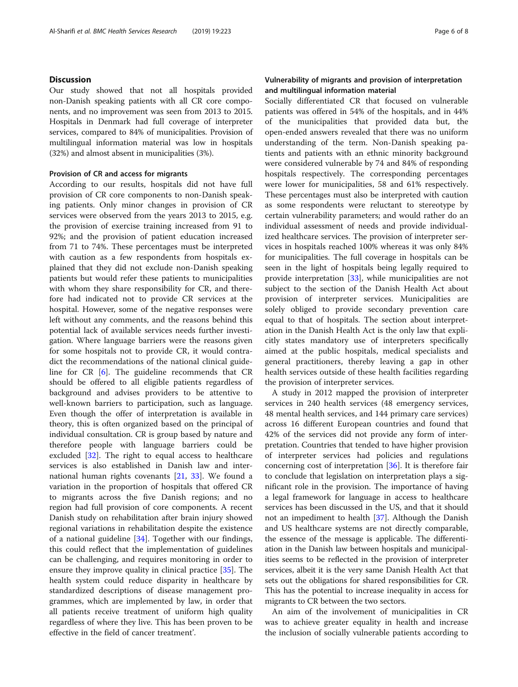## **Discussion**

Our study showed that not all hospitals provided non-Danish speaking patients with all CR core components, and no improvement was seen from 2013 to 2015. Hospitals in Denmark had full coverage of interpreter services, compared to 84% of municipalities. Provision of multilingual information material was low in hospitals (32%) and almost absent in municipalities (3%).

## Provision of CR and access for migrants

According to our results, hospitals did not have full provision of CR core components to non-Danish speaking patients. Only minor changes in provision of CR services were observed from the years 2013 to 2015, e.g. the provision of exercise training increased from 91 to 92%; and the provision of patient education increased from 71 to 74%. These percentages must be interpreted with caution as a few respondents from hospitals explained that they did not exclude non-Danish speaking patients but would refer these patients to municipalities with whom they share responsibility for CR, and therefore had indicated not to provide CR services at the hospital. However, some of the negative responses were left without any comments, and the reasons behind this potential lack of available services needs further investigation. Where language barriers were the reasons given for some hospitals not to provide CR, it would contradict the recommendations of the national clinical guideline for CR [[6](#page-8-0)]. The guideline recommends that CR should be offered to all eligible patients regardless of background and advises providers to be attentive to well-known barriers to participation, such as language. Even though the offer of interpretation is available in theory, this is often organized based on the principal of individual consultation. CR is group based by nature and therefore people with language barriers could be excluded [[32\]](#page-8-0). The right to equal access to healthcare services is also established in Danish law and international human rights covenants [\[21,](#page-8-0) [33](#page-8-0)]. We found a variation in the proportion of hospitals that offered CR to migrants across the five Danish regions; and no region had full provision of core components. A recent Danish study on rehabilitation after brain injury showed regional variations in rehabilitation despite the existence of a national guideline [[34\]](#page-8-0). Together with our findings, this could reflect that the implementation of guidelines can be challenging, and requires monitoring in order to ensure they improve quality in clinical practice [\[35\]](#page-8-0). The health system could reduce disparity in healthcare by standardized descriptions of disease management programmes, which are implemented by law, in order that all patients receive treatment of uniform high quality regardless of where they live. This has been proven to be effective in the field of cancer treatment'.

## Vulnerability of migrants and provision of interpretation and multilingual information material

Socially differentiated CR that focused on vulnerable patients was offered in 54% of the hospitals, and in 44% of the municipalities that provided data but, the open-ended answers revealed that there was no uniform understanding of the term. Non-Danish speaking patients and patients with an ethnic minority background were considered vulnerable by 74 and 84% of responding hospitals respectively. The corresponding percentages were lower for municipalities, 58 and 61% respectively. These percentages must also be interpreted with caution as some respondents were reluctant to stereotype by certain vulnerability parameters; and would rather do an individual assessment of needs and provide individualized healthcare services. The provision of interpreter services in hospitals reached 100% whereas it was only 84% for municipalities. The full coverage in hospitals can be seen in the light of hospitals being legally required to provide interpretation [[33\]](#page-8-0), while municipalities are not subject to the section of the Danish Health Act about provision of interpreter services. Municipalities are solely obliged to provide secondary prevention care equal to that of hospitals. The section about interpretation in the Danish Health Act is the only law that explicitly states mandatory use of interpreters specifically aimed at the public hospitals, medical specialists and general practitioners, thereby leaving a gap in other health services outside of these health facilities regarding the provision of interpreter services.

A study in 2012 mapped the provision of interpreter services in 240 health services (48 emergency services, 48 mental health services, and 144 primary care services) across 16 different European countries and found that 42% of the services did not provide any form of interpretation. Countries that tended to have higher provision of interpreter services had policies and regulations concerning cost of interpretation [\[36](#page-8-0)]. It is therefore fair to conclude that legislation on interpretation plays a significant role in the provision. The importance of having a legal framework for language in access to healthcare services has been discussed in the US, and that it should not an impediment to health [\[37](#page-8-0)]. Although the Danish and US healthcare systems are not directly comparable, the essence of the message is applicable. The differentiation in the Danish law between hospitals and municipalities seems to be reflected in the provision of interpreter services, albeit it is the very same Danish Health Act that sets out the obligations for shared responsibilities for CR. This has the potential to increase inequality in access for migrants to CR between the two sectors.

An aim of the involvement of municipalities in CR was to achieve greater equality in health and increase the inclusion of socially vulnerable patients according to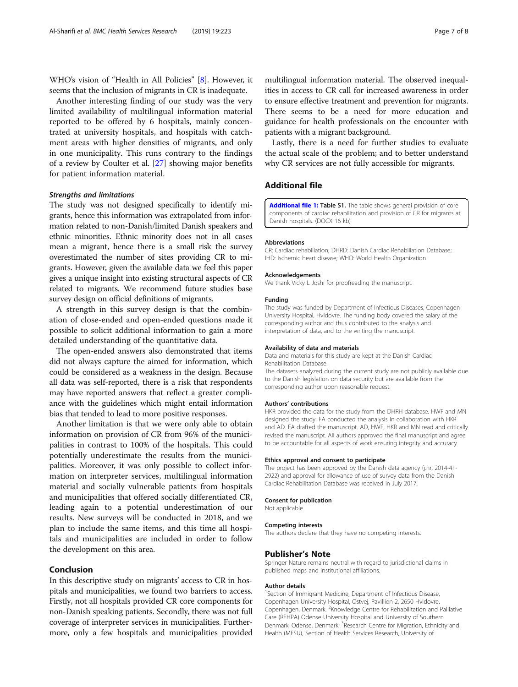<span id="page-7-0"></span>WHO's vision of "Health in All Policies" [\[8](#page-8-0)]. However, it seems that the inclusion of migrants in CR is inadequate.

Another interesting finding of our study was the very limited availability of multilingual information material reported to be offered by 6 hospitals, mainly concentrated at university hospitals, and hospitals with catchment areas with higher densities of migrants, and only in one municipality. This runs contrary to the findings of a review by Coulter et al. [\[27](#page-8-0)] showing major benefits for patient information material.

#### Strengths and limitations

The study was not designed specifically to identify migrants, hence this information was extrapolated from information related to non-Danish/limited Danish speakers and ethnic minorities. Ethnic minority does not in all cases mean a migrant, hence there is a small risk the survey overestimated the number of sites providing CR to migrants. However, given the available data we feel this paper gives a unique insight into existing structural aspects of CR related to migrants. We recommend future studies base survey design on official definitions of migrants.

A strength in this survey design is that the combination of close-ended and open-ended questions made it possible to solicit additional information to gain a more detailed understanding of the quantitative data.

The open-ended answers also demonstrated that items did not always capture the aimed for information, which could be considered as a weakness in the design. Because all data was self-reported, there is a risk that respondents may have reported answers that reflect a greater compliance with the guidelines which might entail information bias that tended to lead to more positive responses.

Another limitation is that we were only able to obtain information on provision of CR from 96% of the municipalities in contrast to 100% of the hospitals. This could potentially underestimate the results from the municipalities. Moreover, it was only possible to collect information on interpreter services, multilingual information material and socially vulnerable patients from hospitals and municipalities that offered socially differentiated CR, leading again to a potential underestimation of our results. New surveys will be conducted in 2018, and we plan to include the same items, and this time all hospitals and municipalities are included in order to follow the development on this area.

## Conclusion

In this descriptive study on migrants' access to CR in hospitals and municipalities, we found two barriers to access. Firstly, not all hospitals provided CR core components for non-Danish speaking patients. Secondly, there was not full coverage of interpreter services in municipalities. Furthermore, only a few hospitals and municipalities provided

multilingual information material. The observed inequalities in access to CR call for increased awareness in order to ensure effective treatment and prevention for migrants. There seems to be a need for more education and guidance for health professionals on the encounter with patients with a migrant background.

Lastly, there is a need for further studies to evaluate the actual scale of the problem; and to better understand why CR services are not fully accessible for migrants.

## Additional file

[Additional file 1:](https://doi.org/10.1186/s12913-019-4041-1) Table S1. The table shows general provision of core components of cardiac rehabilitation and provision of CR for migrants at Danish hospitals. (DOCX 16 kb)

#### Abbreviations

CR: Cardiac rehabiliation; DHRD: Danish Cardiac Rehabiliation Database; IHD: Ischemic heart disease; WHO: World Health Organization

#### Acknowledgements

We thank Vicky L Joshi for proofreading the manuscript.

#### Funding

The study was funded by Department of Infectious Diseases, Copenhagen University Hospital, Hvidovre. The funding body covered the salary of the corresponding author and thus contributed to the analysis and interpretation of data, and to the writing the manuscript.

#### Availability of data and materials

Data and materials for this study are kept at the Danish Cardiac Rehabilitation Database.

The datasets analyzed during the current study are not publicly available due to the Danish legislation on data security but are available from the corresponding author upon reasonable request.

#### Authors' contributions

HKR provided the data for the study from the DHRH database. HWF and MN designed the study. FA conducted the analysis in collaboration with HKR and AD. FA drafted the manuscript. AD, HWF, HKR and MN read and critically revised the manuscript. All authors approved the final manuscript and agree to be accountable for all aspects of work ensuring integrity and accuracy.

#### Ethics approval and consent to participate

The project has been approved by the Danish data agency (j.nr. 2014-41- 2922) and approval for allowance of use of survey data from the Danish Cardiac Rehabilitation Database was received in July 2017.

#### Consent for publication

Not applicable.

#### Competing interests

The authors declare that they have no competing interests.

#### Publisher's Note

Springer Nature remains neutral with regard to jurisdictional claims in published maps and institutional affiliations.

#### Author details

<sup>1</sup>Section of Immigrant Medicine, Department of Infectious Disease Copenhagen University Hospital, Ostvej, Pavillion 2, 2650 Hvidovre, Copenhagen, Denmark. <sup>2</sup>Knowledge Centre for Rehabilitation and Palliative Care (REHPA) Odense University Hospital and University of Southern Denmark, Odense, Denmark. <sup>3</sup> Research Centre for Migration, Ethnicity and Health (MESU), Section of Health Services Research, University of